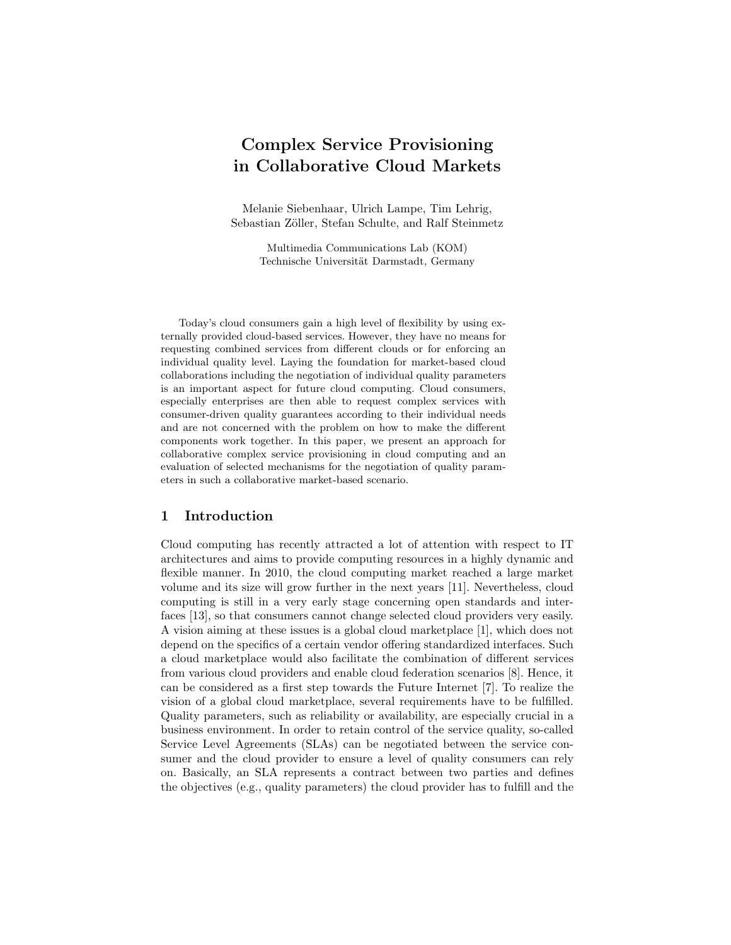# Complex Service Provisioning in Collaborative Cloud Markets

Melanie Siebenhaar, Ulrich Lampe, Tim Lehrig, Sebastian Zöller, Stefan Schulte, and Ralf Steinmetz

> Multimedia Communications Lab (KOM) Technische Universität Darmstadt, Germany

Today's cloud consumers gain a high level of flexibility by using externally provided cloud-based services. However, they have no means for requesting combined services from different clouds or for enforcing an individual quality level. Laying the foundation for market-based cloud collaborations including the negotiation of individual quality parameters is an important aspect for future cloud computing. Cloud consumers, especially enterprises are then able to request complex services with consumer-driven quality guarantees according to their individual needs and are not concerned with the problem on how to make the different components work together. In this paper, we present an approach for collaborative complex service provisioning in cloud computing and an evaluation of selected mechanisms for the negotiation of quality parameters in such a collaborative market-based scenario.

### 1 Introduction

Cloud computing has recently attracted a lot of attention with respect to IT architectures and aims to provide computing resources in a highly dynamic and flexible manner. In 2010, the cloud computing market reached a large market volume and its size will grow further in the next years [11]. Nevertheless, cloud computing is still in a very early stage concerning open standards and interfaces [13], so that consumers cannot change selected cloud providers very easily. A vision aiming at these issues is a global cloud marketplace [1], which does not depend on the specifics of a certain vendor offering standardized interfaces. Such a cloud marketplace would also facilitate the combination of different services from various cloud providers and enable cloud federation scenarios [8]. Hence, it can be considered as a first step towards the Future Internet [7]. To realize the vision of a global cloud marketplace, several requirements have to be fulfilled. Quality parameters, such as reliability or availability, are especially crucial in a business environment. In order to retain control of the service quality, so-called Service Level Agreements (SLAs) can be negotiated between the service consumer and the cloud provider to ensure a level of quality consumers can rely on. Basically, an SLA represents a contract between two parties and defines the objectives (e.g., quality parameters) the cloud provider has to fulfill and the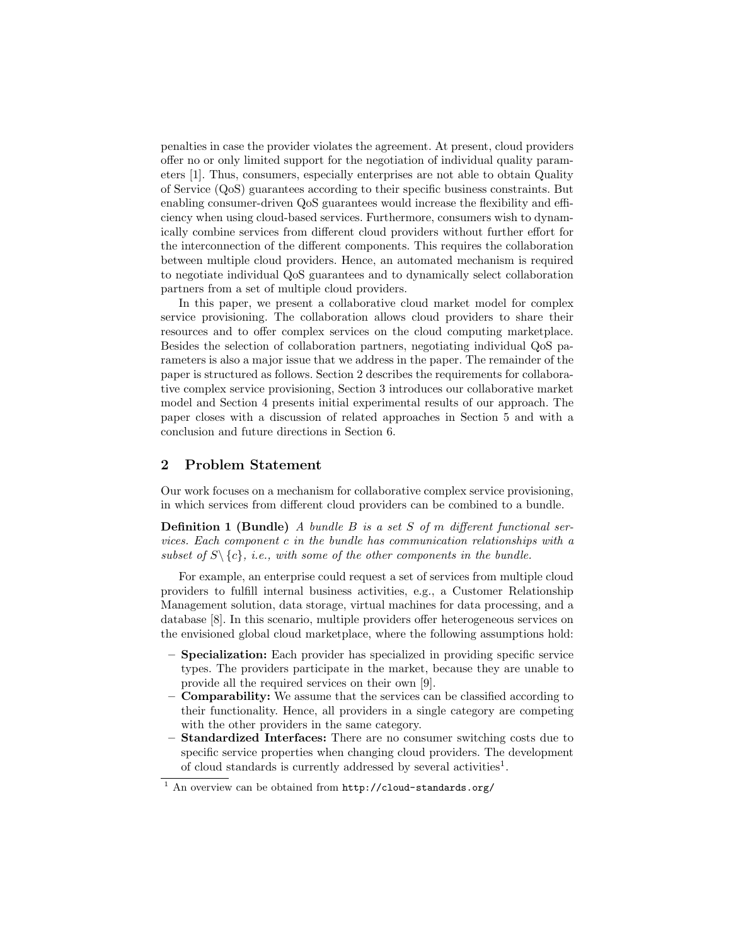penalties in case the provider violates the agreement. At present, cloud providers offer no or only limited support for the negotiation of individual quality parameters [1]. Thus, consumers, especially enterprises are not able to obtain Quality of Service (QoS) guarantees according to their specific business constraints. But enabling consumer-driven QoS guarantees would increase the flexibility and efficiency when using cloud-based services. Furthermore, consumers wish to dynamically combine services from different cloud providers without further effort for the interconnection of the different components. This requires the collaboration between multiple cloud providers. Hence, an automated mechanism is required to negotiate individual QoS guarantees and to dynamically select collaboration partners from a set of multiple cloud providers.

In this paper, we present a collaborative cloud market model for complex service provisioning. The collaboration allows cloud providers to share their resources and to offer complex services on the cloud computing marketplace. Besides the selection of collaboration partners, negotiating individual QoS parameters is also a major issue that we address in the paper. The remainder of the paper is structured as follows. Section 2 describes the requirements for collaborative complex service provisioning, Section 3 introduces our collaborative market model and Section 4 presents initial experimental results of our approach. The paper closes with a discussion of related approaches in Section 5 and with a conclusion and future directions in Section 6.

# 2 Problem Statement

Our work focuses on a mechanism for collaborative complex service provisioning, in which services from different cloud providers can be combined to a bundle.

**Definition 1 (Bundle)** A bundle B is a set S of m different functional services. Each component c in the bundle has communication relationships with a subset of  $S \setminus \{c\}$ , i.e., with some of the other components in the bundle.

For example, an enterprise could request a set of services from multiple cloud providers to fulfill internal business activities, e.g., a Customer Relationship Management solution, data storage, virtual machines for data processing, and a database [8]. In this scenario, multiple providers offer heterogeneous services on the envisioned global cloud marketplace, where the following assumptions hold:

- Specialization: Each provider has specialized in providing specific service types. The providers participate in the market, because they are unable to provide all the required services on their own [9].
- Comparability: We assume that the services can be classified according to their functionality. Hence, all providers in a single category are competing with the other providers in the same category.
- Standardized Interfaces: There are no consumer switching costs due to specific service properties when changing cloud providers. The development of cloud standards is currently addressed by several activities<sup>1</sup>.

<sup>&</sup>lt;sup>1</sup> An overview can be obtained from http://cloud-standards.org/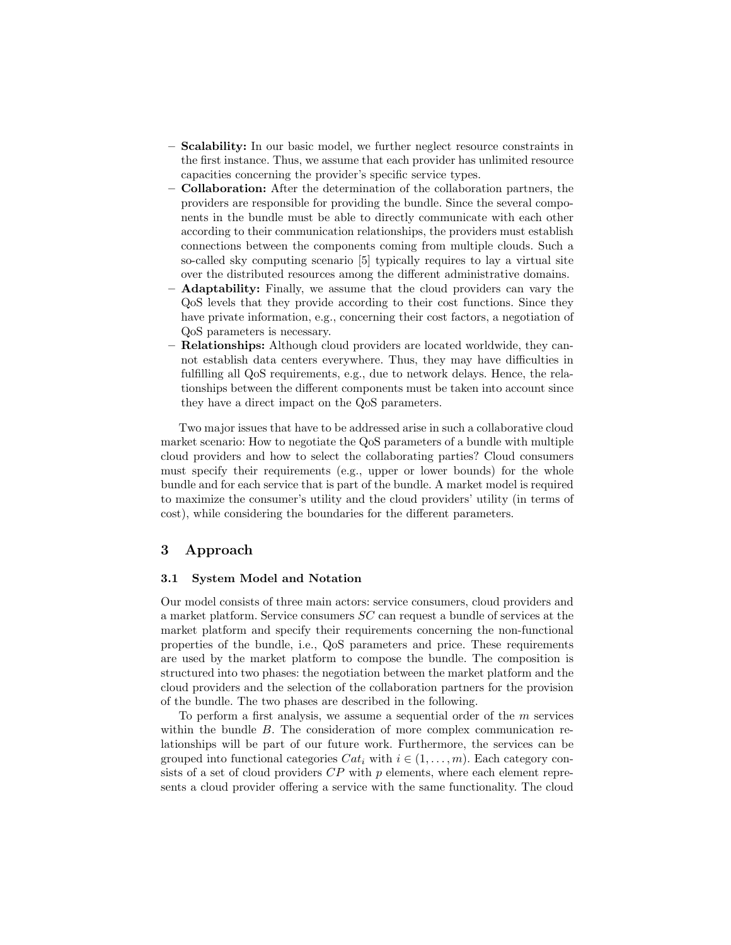- Scalability: In our basic model, we further neglect resource constraints in the first instance. Thus, we assume that each provider has unlimited resource capacities concerning the provider's specific service types.
- Collaboration: After the determination of the collaboration partners, the providers are responsible for providing the bundle. Since the several components in the bundle must be able to directly communicate with each other according to their communication relationships, the providers must establish connections between the components coming from multiple clouds. Such a so-called sky computing scenario [5] typically requires to lay a virtual site over the distributed resources among the different administrative domains.
- Adaptability: Finally, we assume that the cloud providers can vary the QoS levels that they provide according to their cost functions. Since they have private information, e.g., concerning their cost factors, a negotiation of QoS parameters is necessary.
- Relationships: Although cloud providers are located worldwide, they cannot establish data centers everywhere. Thus, they may have difficulties in fulfilling all QoS requirements, e.g., due to network delays. Hence, the relationships between the different components must be taken into account since they have a direct impact on the QoS parameters.

Two major issues that have to be addressed arise in such a collaborative cloud market scenario: How to negotiate the QoS parameters of a bundle with multiple cloud providers and how to select the collaborating parties? Cloud consumers must specify their requirements (e.g., upper or lower bounds) for the whole bundle and for each service that is part of the bundle. A market model is required to maximize the consumer's utility and the cloud providers' utility (in terms of cost), while considering the boundaries for the different parameters.

## 3 Approach

#### 3.1 System Model and Notation

Our model consists of three main actors: service consumers, cloud providers and a market platform. Service consumers SC can request a bundle of services at the market platform and specify their requirements concerning the non-functional properties of the bundle, i.e., QoS parameters and price. These requirements are used by the market platform to compose the bundle. The composition is structured into two phases: the negotiation between the market platform and the cloud providers and the selection of the collaboration partners for the provision of the bundle. The two phases are described in the following.

To perform a first analysis, we assume a sequential order of the  $m$  services within the bundle B. The consideration of more complex communication relationships will be part of our future work. Furthermore, the services can be grouped into functional categories  $Cat_i$  with  $i \in (1, \ldots, m)$ . Each category consists of a set of cloud providers  $\mathbb{CP}$  with p elements, where each element represents a cloud provider offering a service with the same functionality. The cloud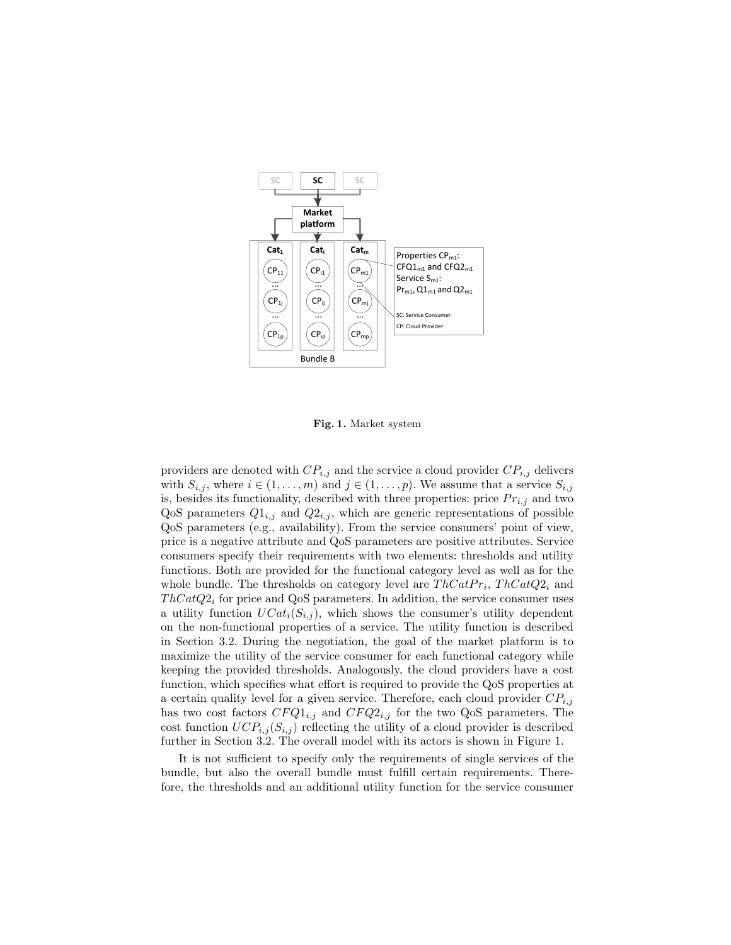

Fig. 1. Market system

providers are denoted with  $CP_{i,j}$  and the service a cloud provider  $CP_{i,j}$  delivers with  $S_{i,j}$ , where  $i \in (1, \ldots, m)$  and  $j \in (1, \ldots, p)$ . We assume that a service  $S_{i,j}$ is, besides its functionality, described with three properties: price  $Pr_{i,j}$  and two QoS parameters  $Q1_{i,j}$  and  $Q2_{i,j}$ , which are generic representations of possible QoS parameters (e.g., availability). From the service consumers' point of view, price is a negative attribute and QoS parameters are positive attributes. Service consumers specify their requirements with two elements: thresholds and utility functions. Both are provided for the functional category level as well as for the whole bundle. The thresholds on category level are  $ThCatPr_i$ ,  $ThCatQ2_i$  and  $ThCatQ2<sub>i</sub>$  for price and QoS parameters. In addition, the service consumer uses a utility function  $UCat_i(S_{i,j})$ , which shows the consumer's utility dependent on the non-functional properties of a service. The utility function is described in Section 3.2. During the negotiation, the goal of the market platform is to maximize the utility of the service consumer for each functional category while keeping the provided thresholds. Analogously, the cloud providers have a cost function, which specifies what effort is required to provide the QoS properties at a certain quality level for a given service. Therefore, each cloud provider  $CP_{i,j}$ has two cost factors  $CFQ1_{i,j}$  and  $CFQ2_{i,j}$  for the two QoS parameters. The cost function  $UCP_{i,j}(S_{i,j})$  reflecting the utility of a cloud provider is described further in Section 3.2. The overall model with its actors is shown in Figure 1.

It is not sufficient to specify only the requirements of single services of the bundle, but also the overall bundle must fulfill certain requirements. Therefore, the thresholds and an additional utility function for the service consumer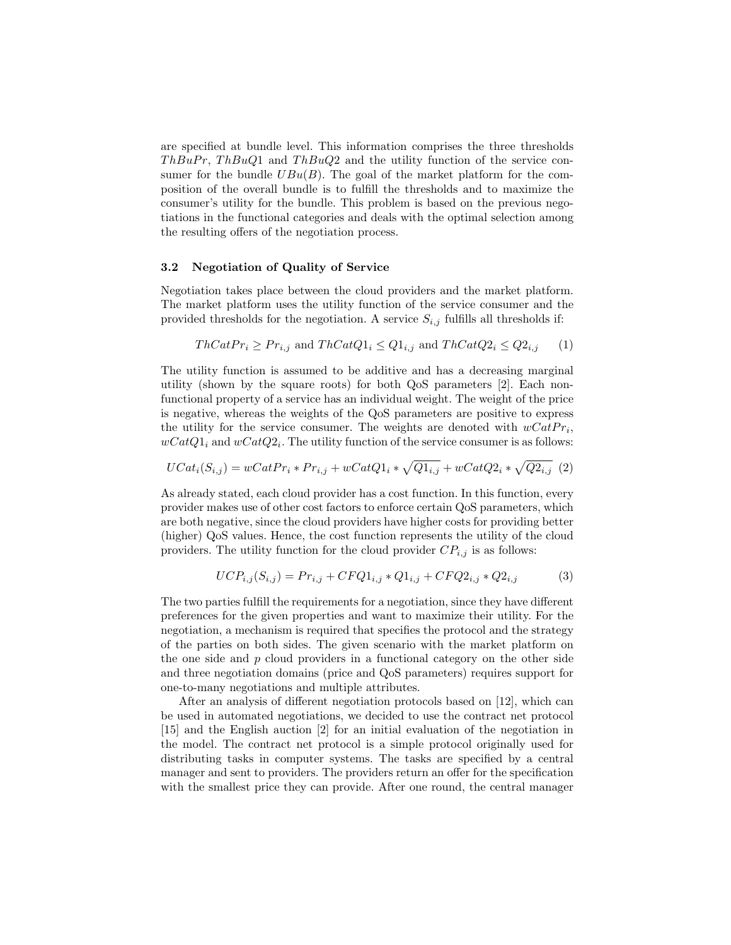are specified at bundle level. This information comprises the three thresholds  $ThBuPr$ ,  $ThBuQ1$  and  $ThBuQ2$  and the utility function of the service consumer for the bundle  $UBu(B)$ . The goal of the market platform for the composition of the overall bundle is to fulfill the thresholds and to maximize the consumer's utility for the bundle. This problem is based on the previous negotiations in the functional categories and deals with the optimal selection among the resulting offers of the negotiation process.

#### 3.2 Negotiation of Quality of Service

Negotiation takes place between the cloud providers and the market platform. The market platform uses the utility function of the service consumer and the provided thresholds for the negotiation. A service  $S_{i,j}$  fulfills all thresholds if:

$$
ThCatPr_i \geq Pr_{i,j} \text{ and } ThCatQ1_i \leq Q1_{i,j} \text{ and } ThCatQ2_i \leq Q2_{i,j} \qquad (1)
$$

The utility function is assumed to be additive and has a decreasing marginal utility (shown by the square roots) for both QoS parameters [2]. Each nonfunctional property of a service has an individual weight. The weight of the price is negative, whereas the weights of the QoS parameters are positive to express the utility for the service consumer. The weights are denoted with  $wCatPr_i$ ,  $wCatQ1_i$  and  $wCatQ2_i$ . The utility function of the service consumer is as follows:

$$
UCat_i(S_{i,j}) = wCatPr_i * Pr_{i,j} + wCatQ1_i * \sqrt{Q1_{i,j}} + wCatQ2_i * \sqrt{Q2_{i,j}} \tag{2}
$$

As already stated, each cloud provider has a cost function. In this function, every provider makes use of other cost factors to enforce certain QoS parameters, which are both negative, since the cloud providers have higher costs for providing better (higher) QoS values. Hence, the cost function represents the utility of the cloud providers. The utility function for the cloud provider  $CP_{i,j}$  is as follows:

$$
UCP_{i,j}(S_{i,j}) = Pr_{i,j} + CFQ1_{i,j} * Q1_{i,j} + CFQ2_{i,j} * Q2_{i,j}
$$
 (3)

The two parties fulfill the requirements for a negotiation, since they have different preferences for the given properties and want to maximize their utility. For the negotiation, a mechanism is required that specifies the protocol and the strategy of the parties on both sides. The given scenario with the market platform on the one side and  $p$  cloud providers in a functional category on the other side and three negotiation domains (price and QoS parameters) requires support for one-to-many negotiations and multiple attributes.

After an analysis of different negotiation protocols based on [12], which can be used in automated negotiations, we decided to use the contract net protocol [15] and the English auction [2] for an initial evaluation of the negotiation in the model. The contract net protocol is a simple protocol originally used for distributing tasks in computer systems. The tasks are specified by a central manager and sent to providers. The providers return an offer for the specification with the smallest price they can provide. After one round, the central manager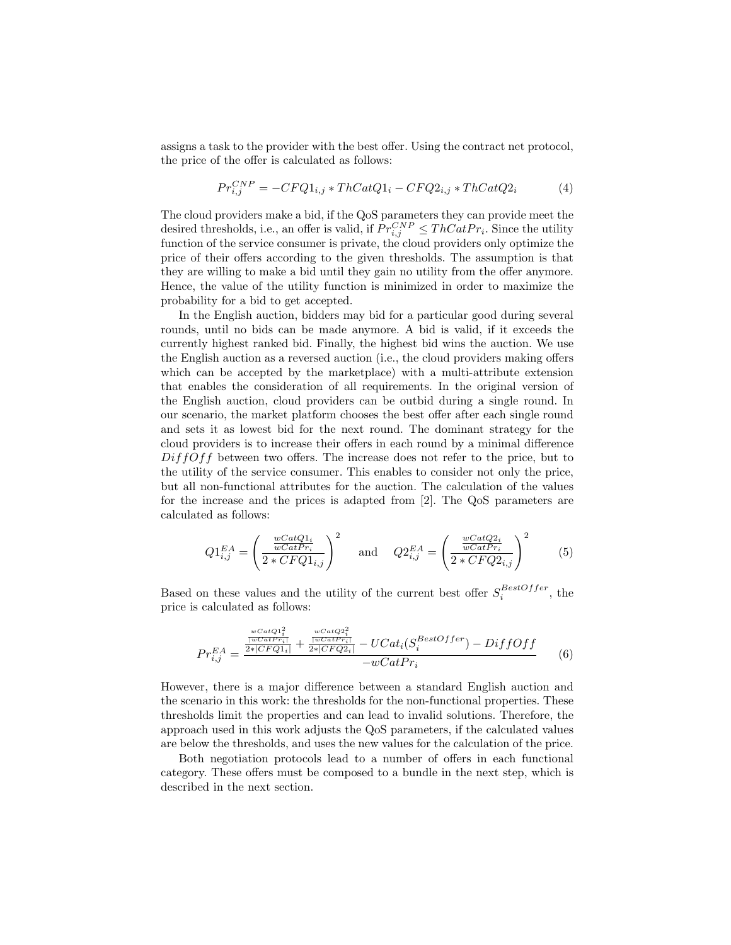assigns a task to the provider with the best offer. Using the contract net protocol, the price of the offer is calculated as follows:

$$
Pr_{i,j}^{CNP} = -CFQ1_{i,j} * ThCatQ1_i - CFQ2_{i,j} * ThCatQ2_i
$$
\n
$$
(4)
$$

The cloud providers make a bid, if the QoS parameters they can provide meet the desired thresholds, i.e., an offer is valid, if  $Pr_{i,j}^{CNP} \leq ThCatPr_i$ . Since the utility function of the service consumer is private, the cloud providers only optimize the price of their offers according to the given thresholds. The assumption is that they are willing to make a bid until they gain no utility from the offer anymore. Hence, the value of the utility function is minimized in order to maximize the probability for a bid to get accepted.

In the English auction, bidders may bid for a particular good during several rounds, until no bids can be made anymore. A bid is valid, if it exceeds the currently highest ranked bid. Finally, the highest bid wins the auction. We use the English auction as a reversed auction (i.e., the cloud providers making offers which can be accepted by the marketplace) with a multi-attribute extension that enables the consideration of all requirements. In the original version of the English auction, cloud providers can be outbid during a single round. In our scenario, the market platform chooses the best offer after each single round and sets it as lowest bid for the next round. The dominant strategy for the cloud providers is to increase their offers in each round by a minimal difference  $DiffOff$  between two offers. The increase does not refer to the price, but to the utility of the service consumer. This enables to consider not only the price, but all non-functional attributes for the auction. The calculation of the values for the increase and the prices is adapted from [2]. The QoS parameters are calculated as follows:

$$
Q1_{i,j}^{EA} = \left(\frac{\frac{wCatQ1_i}{wCatPr_i}}{2*CFQ1_{i,j}}\right)^2 \quad \text{and} \quad Q2_{i,j}^{EA} = \left(\frac{\frac{wCatQ2_i}{wCatPr_i}}{2*CFQ2_{i,j}}\right)^2 \tag{5}
$$

Based on these values and the utility of the current best offer  $S_i^{BestOffer}$ , the price is calculated as follows:

$$
Pr_{i,j}^{EA} = \frac{\frac{w^{CatQ1_i^2}}{[w^{CatPr_i}]} + \frac{w^{CatQ2_i^2}}{2*[CFQ1_i]} - UCat_i(S_i^{BestOffer}) - DiffOff}{-wCatPr_i} \tag{6}
$$

However, there is a major difference between a standard English auction and the scenario in this work: the thresholds for the non-functional properties. These thresholds limit the properties and can lead to invalid solutions. Therefore, the approach used in this work adjusts the QoS parameters, if the calculated values are below the thresholds, and uses the new values for the calculation of the price.

Both negotiation protocols lead to a number of offers in each functional category. These offers must be composed to a bundle in the next step, which is described in the next section.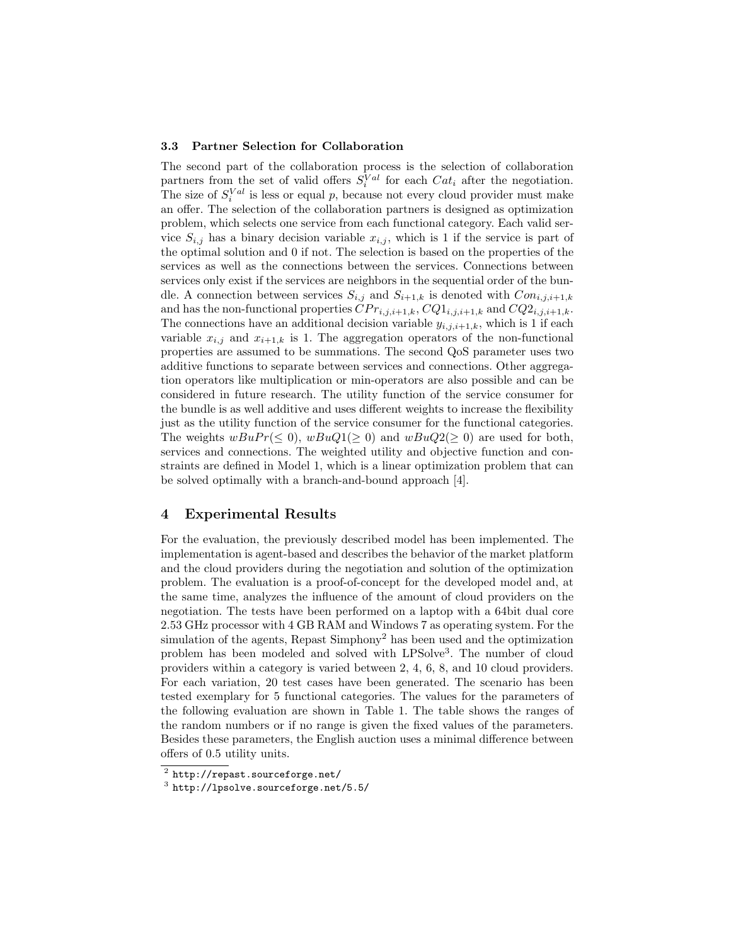#### 3.3 Partner Selection for Collaboration

The second part of the collaboration process is the selection of collaboration partners from the set of valid offers  $S_i^{Val}$  for each  $Cat_i$  after the negotiation. The size of  $S_i^{Val}$  is less or equal p, because not every cloud provider must make an offer. The selection of the collaboration partners is designed as optimization problem, which selects one service from each functional category. Each valid service  $S_{i,j}$  has a binary decision variable  $x_{i,j}$ , which is 1 if the service is part of the optimal solution and 0 if not. The selection is based on the properties of the services as well as the connections between the services. Connections between services only exist if the services are neighbors in the sequential order of the bundle. A connection between services  $S_{i,j}$  and  $S_{i+1,k}$  is denoted with  $Con_{i,j,i+1,k}$ and has the non-functional properties  $CPr_{i,j,i+1,k}$ ,  $CQ1_{i,j,i+1,k}$  and  $CQ2_{i,j,i+1,k}$ . The connections have an additional decision variable  $y_{i,j,i+1,k}$ , which is 1 if each variable  $x_{i,j}$  and  $x_{i+1,k}$  is 1. The aggregation operators of the non-functional properties are assumed to be summations. The second QoS parameter uses two additive functions to separate between services and connections. Other aggregation operators like multiplication or min-operators are also possible and can be considered in future research. The utility function of the service consumer for the bundle is as well additive and uses different weights to increase the flexibility just as the utility function of the service consumer for the functional categories. The weights  $wBuPr(\leq 0)$ ,  $wBuQ1(\geq 0)$  and  $wBuQ2(\geq 0)$  are used for both, services and connections. The weighted utility and objective function and constraints are defined in Model 1, which is a linear optimization problem that can be solved optimally with a branch-and-bound approach [4].

## 4 Experimental Results

For the evaluation, the previously described model has been implemented. The implementation is agent-based and describes the behavior of the market platform and the cloud providers during the negotiation and solution of the optimization problem. The evaluation is a proof-of-concept for the developed model and, at the same time, analyzes the influence of the amount of cloud providers on the negotiation. The tests have been performed on a laptop with a 64bit dual core 2.53 GHz processor with 4 GB RAM and Windows 7 as operating system. For the simulation of the agents, Repast  $Simplifyon y^2$  has been used and the optimization problem has been modeled and solved with LPSolve<sup>3</sup>. The number of cloud providers within a category is varied between 2, 4, 6, 8, and 10 cloud providers. For each variation, 20 test cases have been generated. The scenario has been tested exemplary for 5 functional categories. The values for the parameters of the following evaluation are shown in Table 1. The table shows the ranges of the random numbers or if no range is given the fixed values of the parameters. Besides these parameters, the English auction uses a minimal difference between offers of 0.5 utility units.

 $^{\rm 2}$  http://repast.sourceforge.net/

 $^3$  http://lpsolve.sourceforge.net/5.5/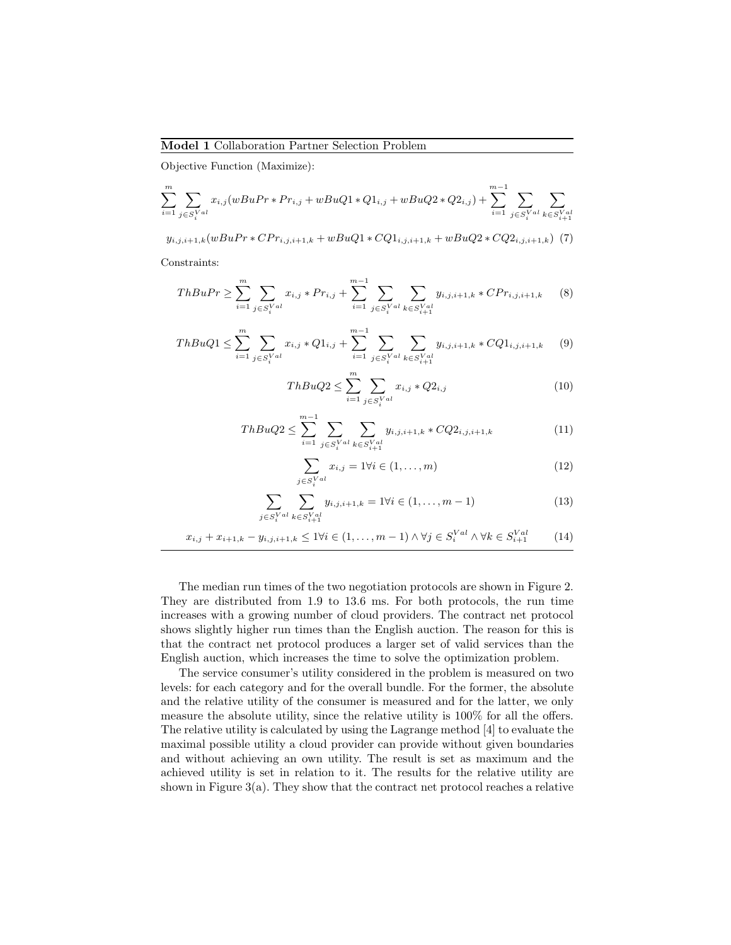Objective Function (Maximize):

$$
\sum_{i=1}^{m}\sum_{j \in S^{Val}_{i}} x_{i,j}(wBuPr*Pr_{i,j}+wBuQ1*Q1_{i,j}+wBuQ2*Q2_{i,j}) + \sum_{i=1}^{m-1}\sum_{j \in S^{Val}_{i}}\sum_{k \in S^{Val}_{i+1}}
$$

 $y_{i,j,i+1,k}(wBuPr * CPr_{i,j,i+1,k} + wBuQ1 * CQ1_{i,j,i+1,k} + wBuQ2 * CQ2_{i,j,i+1,k})$  (7)

Constraints:

$$
ThBuPr \ge \sum_{i=1}^{m} \sum_{j \in S_i^{Val}} x_{i,j} * Pr_{i,j} + \sum_{i=1}^{m-1} \sum_{j \in S_i^{Val}} \sum_{k \in S_{i+1}^{Val}} y_{i,j,i+1,k} * CPr_{i,j,i+1,k} \tag{8}
$$

$$
ThBuQ1 \leq \sum_{i=1}^{m} \sum_{j \in S_i^{Val}} x_{i,j} * Q1_{i,j} + \sum_{i=1}^{m-1} \sum_{j \in S_i^{Val}} \sum_{k \in S_{i+1}^{Val}} y_{i,j,i+1,k} * CQ1_{i,j,i+1,k} \tag{9}
$$

$$
ThBuQ2 \le \sum_{i=1}^{m} \sum_{j \in S_i^{Val}} x_{i,j} * Q2_{i,j}
$$
 (10)

$$
ThBuQ2 \leq \sum_{i=1}^{m-1} \sum_{j \in S_i^{Val}} \sum_{k \in S_{i+1}^{Val}} y_{i,j,i+1,k} * CQ2_{i,j,i+1,k}
$$
(11)

$$
\sum_{j \in S_i^{Val}} x_{i,j} = 1 \forall i \in (1, \dots, m)
$$
\n(12)

$$
\sum_{j \in S_i^{Val}} \sum_{k \in S_{i+1}^{Val}} y_{i,j,i+1,k} = 1 \forall i \in (1, ..., m-1)
$$
\n(13)

$$
x_{i,j} + x_{i+1,k} - y_{i,j,i+1,k} \le 1 \forall i \in (1, ..., m-1) \land \forall j \in S_i^{Val} \land \forall k \in S_{i+1}^{Val} \tag{14}
$$

The median run times of the two negotiation protocols are shown in Figure 2. They are distributed from 1.9 to 13.6 ms. For both protocols, the run time increases with a growing number of cloud providers. The contract net protocol shows slightly higher run times than the English auction. The reason for this is that the contract net protocol produces a larger set of valid services than the English auction, which increases the time to solve the optimization problem.

The service consumer's utility considered in the problem is measured on two levels: for each category and for the overall bundle. For the former, the absolute and the relative utility of the consumer is measured and for the latter, we only measure the absolute utility, since the relative utility is 100% for all the offers. The relative utility is calculated by using the Lagrange method [4] to evaluate the maximal possible utility a cloud provider can provide without given boundaries and without achieving an own utility. The result is set as maximum and the achieved utility is set in relation to it. The results for the relative utility are shown in Figure 3(a). They show that the contract net protocol reaches a relative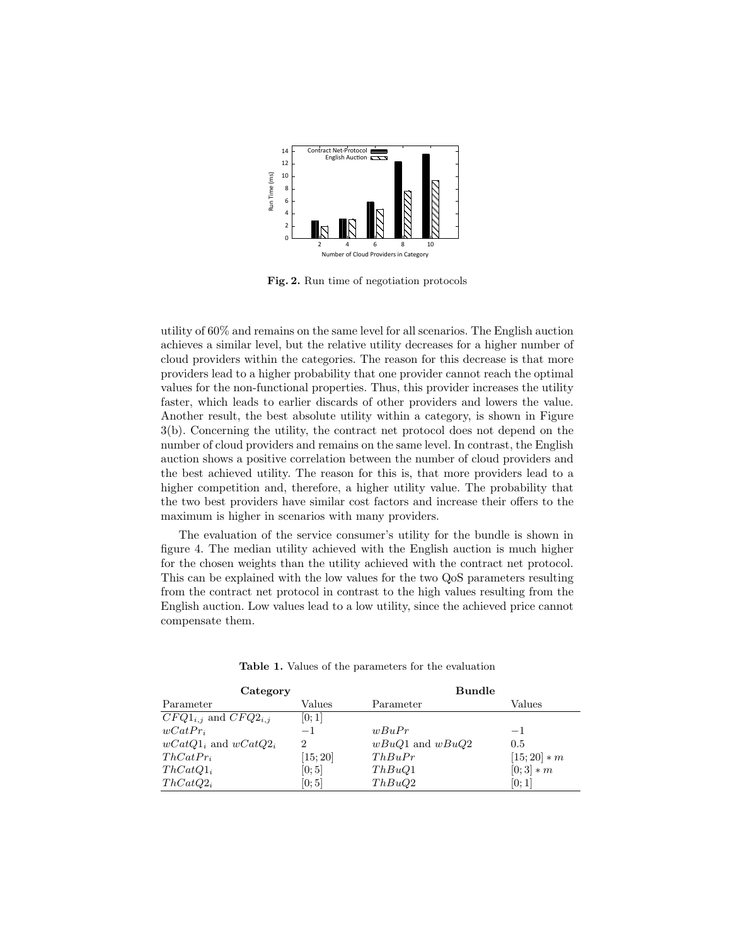

Fig. 2. Run time of negotiation protocols

utility of 60% and remains on the same level for all scenarios. The English auction achieves a similar level, but the relative utility decreases for a higher number of cloud providers within the categories. The reason for this decrease is that more providers lead to a higher probability that one provider cannot reach the optimal values for the non-functional properties. Thus, this provider increases the utility faster, which leads to earlier discards of other providers and lowers the value. Another result, the best absolute utility within a category, is shown in Figure 3(b). Concerning the utility, the contract net protocol does not depend on the number of cloud providers and remains on the same level. In contrast, the English auction shows a positive correlation between the number of cloud providers and the best achieved utility. The reason for this is, that more providers lead to a higher competition and, therefore, a higher utility value. The probability that the two best providers have similar cost factors and increase their offers to the maximum is higher in scenarios with many providers.

The evaluation of the service consumer's utility for the bundle is shown in figure 4. The median utility achieved with the English auction is much higher for the chosen weights than the utility achieved with the contract net protocol. This can be explained with the low values for the two QoS parameters resulting from the contract net protocol in contrast to the high values resulting from the English auction. Low values lead to a low utility, since the achieved price cannot compensate them.

| Category                      |          | <b>Bundle</b>       |                |
|-------------------------------|----------|---------------------|----------------|
| Parameter                     | Values   | Parameter           | Values         |
| $CFQ1_{i,j}$ and $CFQ2_{i,j}$ | [0;1]    |                     |                |
| $wCatPr_i$                    | $-1$     | wBuPr               | $-1$           |
| $wCatQ1_i$ and $wCatQ2_i$     | 2        | $wBuQ1$ and $wBuQ2$ | 0.5            |
| $ThCatPr_i$                   | [15; 20] | ThBuPr              | $[15; 20] * m$ |
| $ThCatQ1_i$                   | [0; 5]   | ThBuQ1              | $[0;3]*m$      |
| $ThCatQ2_i$                   | [0; 5]   | ThBuQ2              | [0;1]          |

Table 1. Values of the parameters for the evaluation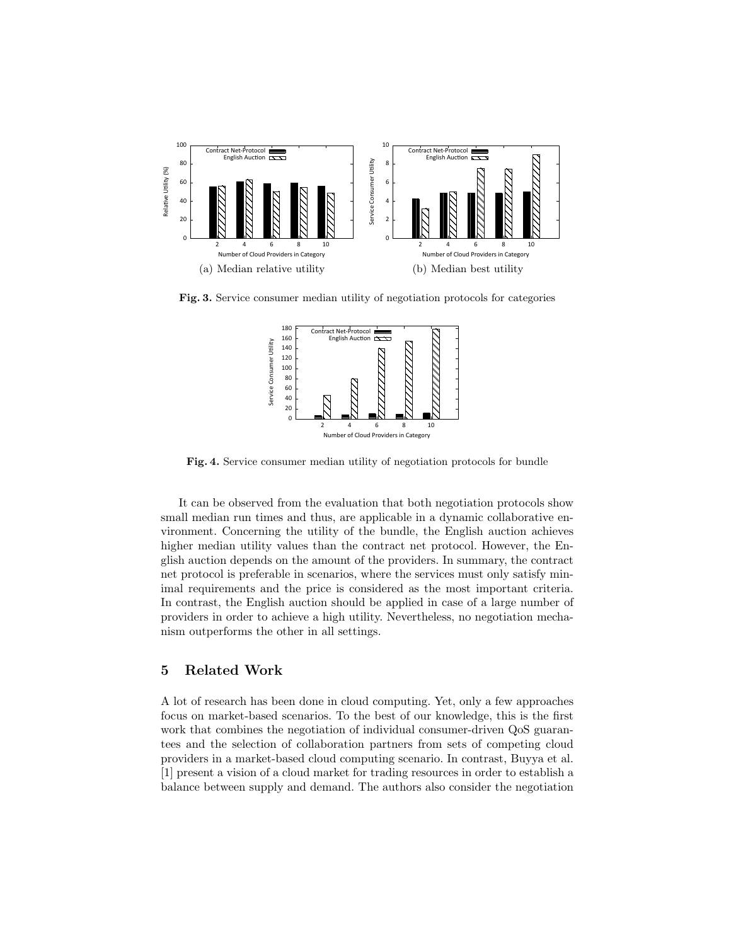

Fig. 3. Service consumer median utility of negotiation protocols for categories



Fig. 4. Service consumer median utility of negotiation protocols for bundle

It can be observed from the evaluation that both negotiation protocols show small median run times and thus, are applicable in a dynamic collaborative environment. Concerning the utility of the bundle, the English auction achieves higher median utility values than the contract net protocol. However, the English auction depends on the amount of the providers. In summary, the contract net protocol is preferable in scenarios, where the services must only satisfy minimal requirements and the price is considered as the most important criteria. In contrast, the English auction should be applied in case of a large number of providers in order to achieve a high utility. Nevertheless, no negotiation mechanism outperforms the other in all settings.

## 5 Related Work

A lot of research has been done in cloud computing. Yet, only a few approaches focus on market-based scenarios. To the best of our knowledge, this is the first work that combines the negotiation of individual consumer-driven QoS guarantees and the selection of collaboration partners from sets of competing cloud providers in a market-based cloud computing scenario. In contrast, Buyya et al. [1] present a vision of a cloud market for trading resources in order to establish a balance between supply and demand. The authors also consider the negotiation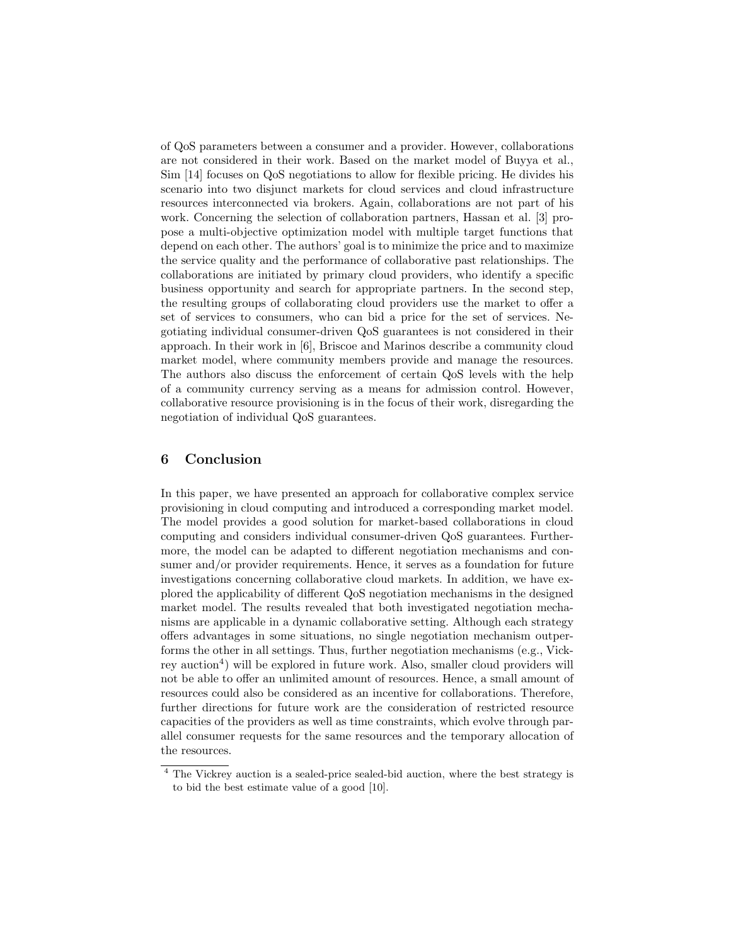of QoS parameters between a consumer and a provider. However, collaborations are not considered in their work. Based on the market model of Buyya et al., Sim [14] focuses on QoS negotiations to allow for flexible pricing. He divides his scenario into two disjunct markets for cloud services and cloud infrastructure resources interconnected via brokers. Again, collaborations are not part of his work. Concerning the selection of collaboration partners, Hassan et al. [3] propose a multi-objective optimization model with multiple target functions that depend on each other. The authors' goal is to minimize the price and to maximize the service quality and the performance of collaborative past relationships. The collaborations are initiated by primary cloud providers, who identify a specific business opportunity and search for appropriate partners. In the second step, the resulting groups of collaborating cloud providers use the market to offer a set of services to consumers, who can bid a price for the set of services. Negotiating individual consumer-driven QoS guarantees is not considered in their approach. In their work in [6], Briscoe and Marinos describe a community cloud market model, where community members provide and manage the resources. The authors also discuss the enforcement of certain QoS levels with the help of a community currency serving as a means for admission control. However, collaborative resource provisioning is in the focus of their work, disregarding the negotiation of individual QoS guarantees.

## 6 Conclusion

In this paper, we have presented an approach for collaborative complex service provisioning in cloud computing and introduced a corresponding market model. The model provides a good solution for market-based collaborations in cloud computing and considers individual consumer-driven QoS guarantees. Furthermore, the model can be adapted to different negotiation mechanisms and consumer and/or provider requirements. Hence, it serves as a foundation for future investigations concerning collaborative cloud markets. In addition, we have explored the applicability of different QoS negotiation mechanisms in the designed market model. The results revealed that both investigated negotiation mechanisms are applicable in a dynamic collaborative setting. Although each strategy offers advantages in some situations, no single negotiation mechanism outperforms the other in all settings. Thus, further negotiation mechanisms (e.g., Vickrey auction<sup>4</sup>) will be explored in future work. Also, smaller cloud providers will not be able to offer an unlimited amount of resources. Hence, a small amount of resources could also be considered as an incentive for collaborations. Therefore, further directions for future work are the consideration of restricted resource capacities of the providers as well as time constraints, which evolve through parallel consumer requests for the same resources and the temporary allocation of the resources.

<sup>4</sup> The Vickrey auction is a sealed-price sealed-bid auction, where the best strategy is to bid the best estimate value of a good [10].